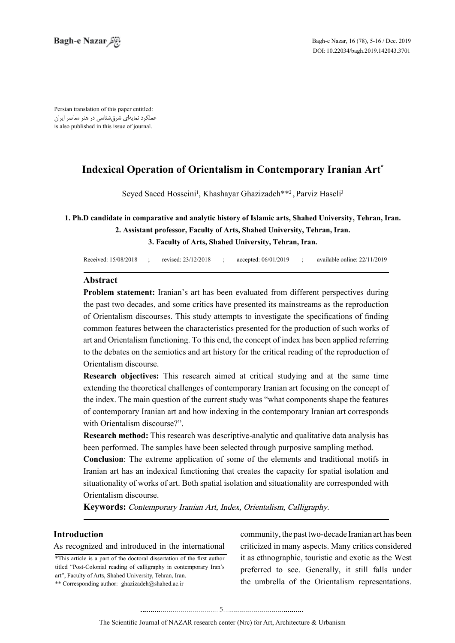Persian translation of this paper entitled: عملکرد نمایهای شرقشناسی در هنر معاصر ایران is also published in this issue of journal.

# **Indexical Operation of Orientalism in Contemporary Iranian Art<sup>\*</sup>**

Seyed Saeed Hosseini<sup>1</sup>, Khashayar Ghazizadeh\*\*<sup>2</sup>, Parviz Haseli<sup>3</sup>

# **1. Ph.D candidate in comparative and analytic history of Islamic arts, Shahed University, Tehran, Iran.** 2. Assistant professor, Faculty of Arts, Shahed University, Tehran, Iran.  **3. Faculty of Arts, Shahed University, Tehran, Iran.**

| Received: 15/08/2018 | revised: 23/12/2018 | accepted: 06/01/2019 | available online: 22/11/2019 |
|----------------------|---------------------|----------------------|------------------------------|
|                      |                     |                      |                              |

## **Abstract**

**Problem statement:** Iranian's art has been evaluated from different perspectives during the past two decades, and some critics have presented its mainstreams as the reproduction of Orientalism discourses. This study attempts to investigate the specifications of finding common features between the characteristics presented for the production of such works of art and Orientalism functioning. To this end, the concept of index has been applied referring to the debates on the semiotics and art history for the critical reading of the reproduction of Orientalism discourse.

**Research objectives:** This research aimed at critical studying and at the same time extending the theoretical challenges of contemporary Iranian art focusing on the concept of the index. The main question of the current study was "what components shape the features of contemporary Iranian art and how indexing in the contemporary Iranian art corresponds with Orientalism discourse?".

**Research method:** This research was descriptive-analytic and qualitative data analysis has been performed. The samples have been selected through purposive sampling method.

Conclusion: The extreme application of some of the elements and traditional motifs in Iranian art has an indexical functioning that creates the capacity for spatial isolation and situationality of works of art. Both spatial isolation and situationality are corresponded with Orientalism discourse.

Keywords: Contemporary Iranian Art, Index, Orientalism, Calligraphy.

# **Introduction**

## As recognized and introduced in the international

<sup>\*</sup>This article is a part of the doctoral dissertation of the first author titled "Post-Colonial reading of calligraphy in contemporary Iran's art", Faculty of Arts, Shahed University, Tehran, Iran. \*\* Corresponding author: ghazizadeh@shahed.ac.ir

community, the past two-decade Iranian art has been criticized in many aspects. Many critics considered it as ethnographic, touristic and exotic as the West preferred to see. Generally, it still falls under the umbrella of the Orientalism representations.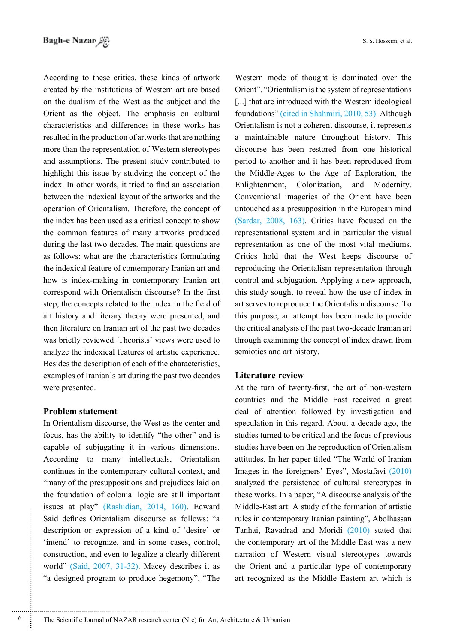According to these critics, these kinds of artwork created by the institutions of Western art are based on the dualism of the West as the subject and the Orient as the object. The emphasis on cultural characteristics and differences in these works has resulted in the production of artworks that are nothing more than the representation of Western stereotypes and assumptions. The present study contributed to highlight this issue by studying the concept of the index. In other words, it tried to find an association between the indexical layout of the artworks and the operation of Orientalism. Therefore, the concept of the index has been used as a critical concept to show the common features of many artworks produced during the last two decades. The main questions are as follows: what are the characteristics formulating the indexical feature of contemporary Iranian art and how is index-making in contemporary Iranian art correspond with Orientalism discourse? In the first step, the concepts related to the index in the field of art history and literary theory were presented, and then literature on Iranian art of the past two decades was briefly reviewed. Theorists' views were used to analyze the indexical features of artistic experience. Besides the description of each of the characteristics. examples of Iranian's art during the past two decades were presented.

#### **Problem statement**

In Orientalism discourse, the West as the center and focus, has the ability to identify "the other" and is capable of subjugating it in various dimensions. According to many intellectuals, Orientalism continues in the contemporary cultural context, and "many of the presuppositions and prejudices laid on the foundation of colonial logic are still important issues at play" (Rashidian, 2014, 160). Edward Said defines Orientalism discourse as follows: "a description or expression of a kind of 'desire' or 'intend' to recognize, and in some cases, control, construction, and even to legalize a clearly different world" (Said,  $2007$ ,  $31-32$ ). Macey describes it as "a designed program to produce hegemony". "The

Western mode of thought is dominated over the Orient". "Orientalism is the system of representations  $\left[\ldots\right]$  that are introduced with the Western ideological foundations" (cited in Shahmiri, 2010, 53). Although Orientalism is not a coherent discourse, it represents a maintainable nature throughout history. This discourse has been restored from one historical period to another and it has been reproduced from the Middle-Ages to the Age of Exploration, the Enlightenment, Colonization, and Modernity. Conventional imageries of the Orient have been untouched as a presupposition in the European mind (Sardar,  $2008$ , 163). Critics have focused on the representational system and in particular the visual representation as one of the most vital mediums. Critics hold that the West keeps discourse of reproducing the Orientalism representation through control and subjugation. Applying a new approach, this study sought to reveal how the use of index in art serves to reproduce the Orientalism discourse. To this purpose, an attempt has been made to provide the critical analysis of the past two-decade Iranian art through examining the concept of index drawn from semiotics and art history.

## **Literature** review

At the turn of twenty-first, the art of non-western countries and the Middle East received a great deal of attention followed by investigation and speculation in this regard. About a decade ago, the studies turned to be critical and the focus of previous studies have been on the reproduction of Orientalism attitudes. In her paper titled "The World of Iranian Images in the foreigners' Eyes", Mostafavi  $(2010)$ analyzed the persistence of cultural stereotypes in these works. In a paper, "A discourse analysis of the Middle-East art: A study of the formation of artistic rules in contemporary Iranian painting", Abolhassan Tanhai, Ravadrad and Moridi (2010) stated that the contemporary art of the Middle East was a new narration of Western visual stereotypes towards the Orient and a particular type of contemporary art recognized as the Middle Eastern art which is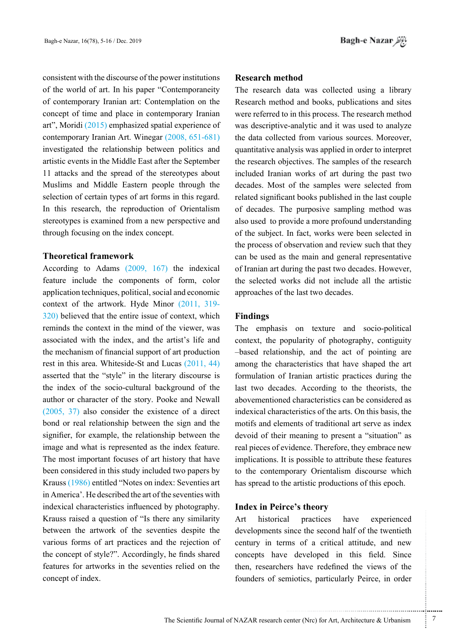consistent with the discourse of the power institutions of the world of art. In his paper "Contemporaneity" of contemporary Iranian art: Contemplation on the concept of time and place in contemporary Iranian art". Moridi  $(2015)$  emphasized spatial experience of contemporary Iranian Art. Winegar  $(2008, 651-681)$ investigated the relationship between politics and artistic events in the Middle East after the September 11 attacks and the spread of the stereotypes about Muslims and Middle Eastern people through the selection of certain types of art forms in this regard. In this research, the reproduction of Orientalism stereotypes is examined from a new perspective and through focusing on the index concept.

## **framework Theoretical**

According to Adams  $(2009, 167)$  the indexical feature include the components of form, color application techniques, political, social and economic context of the artwork. Hyde Minor  $(2011, 319$ - $(320)$  believed that the entire issue of context, which reminds the context in the mind of the viewer, was associated with the index, and the artist's life and the mechanism of financial support of art production rest in this area. Whiteside-St and Lucas  $(2011, 44)$ asserted that the "style" in the literary discourse is the index of the socio-cultural background of the author or character of the story. Pooke and Newall  $(2005, 37)$  also consider the existence of a direct bond or real relationship between the sign and the signifier, for example, the relationship between the image and what is represented as the index feature. The most important focuses of art history that have been considered in this study included two papers by Krauss (1986) entitled "Notes on index: Seventies art in America'. He described the art of the seventies with indexical characteristics influenced by photography. Krauss raised a question of "Is there any similarity between the artwork of the seventies despite the various forms of art practices and the rejection of the concept of style?". Accordingly, he finds shared features for artworks in the seventies relied on the concept of index.

#### **method Research**

The research data was collected using a library Research method and books, publications and sites were referred to in this process. The research method was descriptive-analytic and it was used to analyze the data collected from various sources. Moreover, quantitative analysis was applied in order to interpret the research objectives. The samples of the research included Iranian works of art during the past two decades. Most of the samples were selected from related significant books published in the last couple of decades. The purposive sampling method was also used to provide a more profound understanding of the subject. In fact, works were been selected in the process of observation and review such that they can be used as the main and general representative of Iranian art during the past two decades. However, the selected works did not include all the artistic approaches of the last two decades.

#### **Findings**

The emphasis on texture and socio-political context, the popularity of photography, contiguity -based relationship, and the act of pointing are among the characteristics that have shaped the art formulation of Iranian artistic practices during the last two decades. According to the theorists, the abovementioned characteristics can be considered as indexical characteristics of the arts. On this basis, the motifs and elements of traditional art serve as index devoid of their meaning to present a "situation" as real pieces of evidence. Therefore, they embrace new implications. It is possible to attribute these features to the contemporary Orientalism discourse which has spread to the artistic productions of this epoch.

## **Index in Peirce's theory**

Art historical practices have experienced developments since the second half of the twentieth century in terms of a critical attitude, and new concepts have developed in this field. Since then, researchers have redefined the views of the founders of semiotics, particularly Peirce, in order

.......... ....... ........ ........... ...... ....... ........ .......... ...........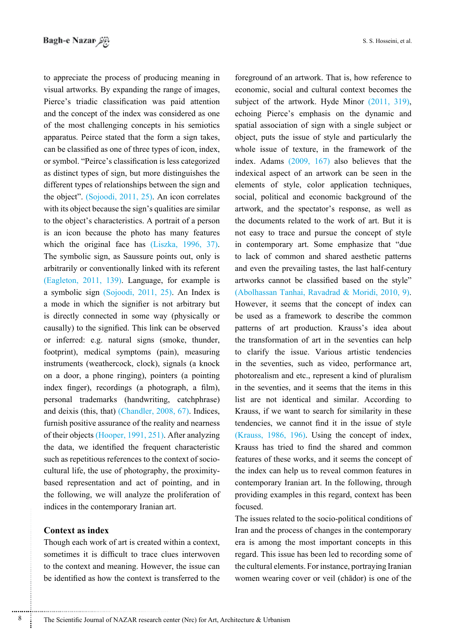to appreciate the process of producing meaning in visual artworks. By expanding the range of images, Pierce's triadic classification was paid attention and the concept of the index was considered as one of the most challenging concepts in his semiotics apparatus. Peirce stated that the form a sign takes, can be classified as one of three types of icon, index, or symbol. "Peirce's classification is less categorized as distinct types of sign, but more distinguishes the different types of relationships between the sign and the object". (Sojoodi, 2011, 25). An icon correlates with its object because the sign's qualities are similar to the object's characteristics. A portrait of a person is an icon because the photo has many features which the original face has  $(Liszka, 1996, 37)$ . The symbolic sign, as Saussure points out, only is arbitrarily or conventionally linked with its referent  $E$ agleton, 2011, 139). Language, for example is a symbolic sign  $(Sojoodi, 2011, 25)$ . An Index is a mode in which the signifier is not arbitrary but is directly connected in some way (physically or causally) to the signified. This link can be observed or inferred: e.g. natural signs (smoke, thunder, footprint), medical symptoms (pain), measuring instruments (weathercock, clock), signals (a knock on a door, a phone ringing), pointers (a pointing index finger), recordings (a photograph, a film), personal trademarks (handwriting, catchphrase) and deixis (this, that) (Chandler,  $2008, 67$ ). Indices, furnish positive assurance of the reality and nearness of their objects (Hooper, 1991, 251). After analyzing the data, we identified the frequent characteristic based representation and act of pointing, and in cultural life, the use of photography, the proximitysuch as repetitious references to the context of sociothe following, we will analyze the proliferation of indices in the contemporary Iranian art.

## **Context as index**

Though each work of art is created within a context, sometimes it is difficult to trace clues interwoven to the context and meaning. However, the issue can be identified as how the context is transferred to the

foreground of an artwork. That is, how reference to economic, social and cultural context becomes the subject of the artwork. Hyde Minor  $(2011, 319)$ , echoing Pierce's emphasis on the dynamic and spatial association of sign with a single subject or object, puts the issue of style and particularly the whole issue of texture, in the framework of the index. Adams  $(2009, 167)$  also believes that the indexical aspect of an artwork can be seen in the elements of style, color application techniques, social, political and economic background of the artwork, and the spectator's response, as well as the documents related to the work of art. But it is not easy to trace and pursue the concept of style in contemporary art. Some emphasize that "due to lack of common and shared aesthetic patterns and even the prevailing tastes, the last half-century artworks cannot be classified based on the style"  $(Abolhasan Tanhai, Ravadrad & Moridi, 2010, 9).$ However, it seems that the concept of index can be used as a framework to describe the common patterns of art production. Krauss's idea about the transformation of art in the seventies can help to clarify the issue. Various artistic tendencies in the seventies, such as video, performance art, photorealism and etc., represent a kind of pluralism in the seventies, and it seems that the items in this list are not identical and similar. According to Krauss, if we want to search for similarity in these tendencies, we cannot find it in the issue of style  $(Krauss, 1986, 196)$ . Using the concept of index, Krauss has tried to find the shared and common features of these works, and it seems the concept of the index can help us to reveal common features in contemporary Iranian art. In the following, through providing examples in this regard, context has been .focused

The issues related to the socio-political conditions of Iran and the process of changes in the contemporary era is among the most important concepts in this regard. This issue has been led to recording some of the cultural elements. For instance, portraying Iranian women wearing cover or veil (chādor) is one of the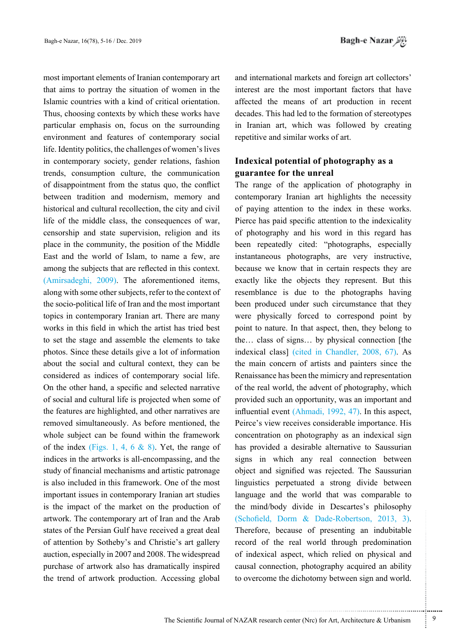most important elements of Iranian contemporary art that aims to portray the situation of women in the Islamic countries with a kind of critical orientation. Thus, choosing contexts by which these works have particular emphasis on, focus on the surrounding environment and features of contemporary social life. Identity politics, the challenges of women's lives in contemporary society, gender relations, fashion trends, consumption culture, the communication of disappointment from the status quo, the conflict between tradition and modernism, memory and historical and cultural recollection, the city and civil life of the middle class, the consequences of war, censorship and state supervision, religion and its place in the community, the position of the Middle East and the world of Islam, to name a few, are among the subjects that are reflected in this context.  $(Amirsadeghi, 2009)$ . The aforementioned items. along with some other subjects, refer to the context of the socio-political life of Iran and the most important topics in contemporary Iranian art. There are many works in this field in which the artist has tried best to set the stage and assemble the elements to take photos. Since these details give a lot of information about the social and cultural context, they can be considered as indices of contemporary social life. On the other hand, a specific and selected narrative of social and cultural life is projected when some of the features are highlighted, and other narratives are removed simultaneously. As before mentioned, the whole subject can be found within the framework of the index (Figs. 1, 4, 6  $\&$  8). Yet, the range of indices in the artworks is all-encompassing, and the study of financial mechanisms and artistic patronage is also included in this framework. One of the most important issues in contemporary Iranian art studies is the impact of the market on the production of artwork. The contemporary art of Iran and the Arab states of the Persian Gulf have received a great deal of attention by Sotheby's and Christie's art gallery auction, especially in 2007 and 2008. The widespread purchase of artwork also has dramatically inspired the trend of artwork production. Accessing global

and international markets and foreign art collectors' interest are the most important factors that have affected the means of art production in recent decades. This had led to the formation of stereotypes in Iranian art, which was followed by creating repetitive and similar works of art.

# **Indexical potential of photography as a guarantee for the unreal**

The range of the application of photography in contemporary Iranian art highlights the necessity of paying attention to the index in these works. Pierce has paid specific attention to the indexicality of photography and his word in this regard has been repeatedly cited: "photographs, especially instantaneous photographs, are very instructive, because we know that in certain respects they are exactly like the objects they represent. But this resemblance is due to the photographs having been produced under such circumstance that they were physically forced to correspond point by point to nature. In that aspect, then, they belong to the... class of signs... by physical connection [the indexical class] (cited in Chandler, 2008, 67). As the main concern of artists and painters since the Renaissance has been the mimicry and representation of the real world, the advent of photography, which provided such an opportunity, was an important and influential event  $(Ahmadi, 1992, 47)$ . In this aspect, Peirce's view receives considerable importance. His concentration on photography as an indexical sign has provided a desirable alternative to Saussurian signs in which any real connection between object and signified was rejected. The Saussurian linguistics perpetuated a strong divide between language and the world that was comparable to the mind/body divide in Descartes's philosophy  $(Schofield, Dorm & Dade-Robertson, 2013, 3).$ Therefore, because of presenting an indubitable record of the real world through predomination of indexical aspect, which relied on physical and causal connection, photography acquired an ability to overcome the dichotomy between sign and world.

...........................................................

.......... ....... ........ ........... ...... ....... ........ .......... ...........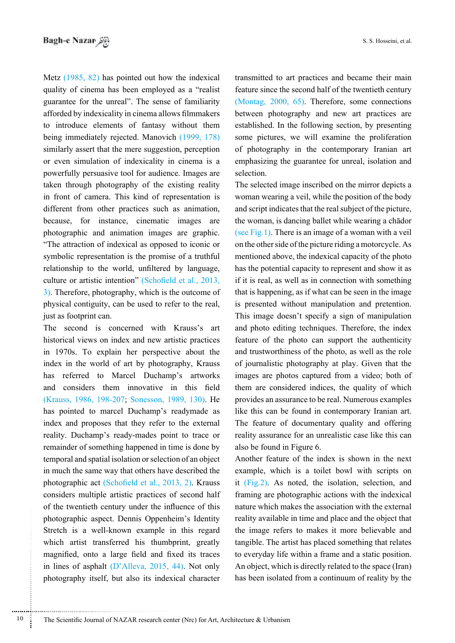Metz  $(1985, 82)$  has pointed out how the indexical quality of cinema has been employed as a "realist" guarantee for the unreal". The sense of familiarity afforded by indexicality in cinema allows filmmakers to introduce elements of fantasy without them being immediately rejected. Manovich (1999, 178) similarly assert that the mere suggestion, perception or even simulation of indexicality in cinema is a powerfully persuasive tool for audience. Images are taken through photography of the existing reality in front of camera. This kind of representation is different from other practices such as animation, because, for instance, cinematic images are photographic and animation images are graphic. "The attraction of indexical as opposed to iconic or symbolic representation is the promise of a truthful relationship to the world, unfiltered by language, culture or artistic intention" (Schofield et al., 2013,  $\beta$ ). Therefore, photography, which is the outcome of physical contiguity, can be used to refer to the real, just as footprint can.

The second is concerned with Krauss's art historical views on index and new artistic practices in 1970s. To explain her perspective about the index in the world of art by photography, Krauss has referred to Marcel Duchamp's artworks and considers them innovative in this field (Krauss, 1986, 198-207; Sonesson, 1989, 130). He has pointed to marcel Duchamp's readymade as index and proposes that they refer to the external reality. Duchamp's ready-mades point to trace or remainder of something happened in time is done by temporal and spatial isolation or selection of an object in much the same way that others have described the photographic act (Schofield et al., 2013, 2). Krauss considers multiple artistic practices of second half of the twentieth century under the influence of this photographic aspect. Dennis Oppenheim's Identity Stretch is a well-known example in this regard which artist transferred his thumbprint, greatly magnified, onto a large field and fixed its traces in lines of asphalt  $(D^{\prime})$ Alleva, 2015, 44). Not only photography itself, but also its indexical character transmitted to art practices and became their main feature since the second half of the twentieth century (Montag,  $2000, 65$ ). Therefore, some connections between photography and new art practices are established. In the following section, by presenting some pictures, we will examine the proliferation of photography in the contemporary Iranian art emphasizing the guarantee for unreal, isolation and selection.

The selected image inscribed on the mirror depicts a woman wearing a veil, while the position of the body and script indicates that the real subject of the picture, the woman, is dancing ballet while wearing a chador (see Fig.1). There is an image of a woman with a veil on the other side of the picture riding a motorcycle. As mentioned above, the indexical capacity of the photo has the potential capacity to represent and show it as if it is real, as well as in connection with something that is happening, as if what can be seen in the image is presented without manipulation and pretention. This image doesn't specify a sign of manipulation and photo editing techniques. Therefore, the index feature of the photo can support the authenticity and trustworthiness of the photo, as well as the role of journalistic photography at play. Given that the images are photos captured from a video; both of them are considered indices, the quality of which provides an assurance to be real. Numerous examples like this can be found in contemporary Iranian art. The feature of documentary quality and offering reality assurance for an unrealistic case like this can also be found in Figure 6.

Another feature of the index is shown in the next example, which is a toilet bowl with scripts on it  $(Fig.2)$ . As noted, the isolation, selection, and framing are photographic actions with the indexical nature which makes the association with the external reality available in time and place and the object that the image refers to makes it more believable and tangible. The artist has placed something that relates to everyday life within a frame and a static position. An object, which is directly related to the space (Iran) has been isolated from a continuum of reality by the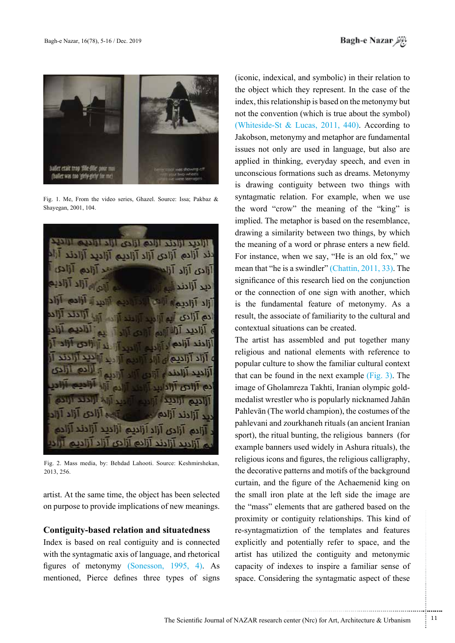

Fig. 1. Me. From the video series. Ghazel. Source: Issa: Pakbaz & Shayegan, 2001, 104.

**HIZD HIZD HIZO HIZO HIZD HILLS** دند آزاده آزادی آزاد آزادیم آزادید آزادند **Tilez**, Tile Till  $\overline{AB}$ أزادند أزاده دى آزاد ازادىم ازادىد از أأديد أزادند أزاده أزادي أزاد أزاديم

Fig. 2. Mass media, by: Behdad Lahooti. Source: Keshmirshekan, 2013, 256.

artist. At the same time, the object has been selected on purpose to provide implications of new meanings.

### **Contiguity-based relation and situatedness**

Index is based on real contiguity and is connected with the syntagmatic axis of language, and rhetorical figures of metonymy (Sonesson,  $1995, 4$ ). As mentioned, Pierce defines three types of signs (iconic, indexical, and symbolic) in their relation to the object which they represent. In the case of the index, this relationship is based on the metonymy but not the convention (which is true about the symbol) (Whiteside-St & Lucas, 2011, 440). According to Jakobson, metonymy and metaphor are fundamental issues not only are used in language, but also are applied in thinking, everyday speech, and even in unconscious formations such as dreams. Metonymy is drawing contiguity between two things with syntagmatic relation. For example, when we use the word "crow" the meaning of the "king" is implied. The metaphor is based on the resemblance, drawing a similarity between two things, by which the meaning of a word or phrase enters a new field. For instance, when we say, "He is an old fox," we mean that "he is a swindler" (Chattin,  $2011, 33$ ). The significance of this research lied on the conjunction or the connection of one sign with another, which is the fundamental feature of metonymy. As a result, the associate of familiarity to the cultural and contextual situations can be created.

The artist has assembled and put together many religious and national elements with reference to popular culture to show the familiar cultural context that can be found in the next example  $(Fig. 3)$ . The medalist wrestler who is popularly nicknamed Jahān image of Gholamreza Takhti, Iranian olympic gold-Pahlevān (The world champion), the costumes of the pahlevani and zourkhaneh rituals (an ancient Iranian sport), the ritual bunting, the religious banners (for example banners used widely in Ashura rituals), the religious icons and figures, the religious calligraphy, the decorative patterns and motifs of the background curtain, and the figure of the Achaemenid king on the small iron plate at the left side the image are the "mass" elements that are gathered based on the proximity or contiguity relationships. This kind of re-syntagmatiztion of the templates and features explicitly and potentially refer to space, and the artist has utilized the contiguity and metonymic capacity of indexes to inspire a familiar sense of space. Considering the syntagmatic aspect of these

...........................................................

.......... ....... ........ ........... ...... ....... ........ .......... ...........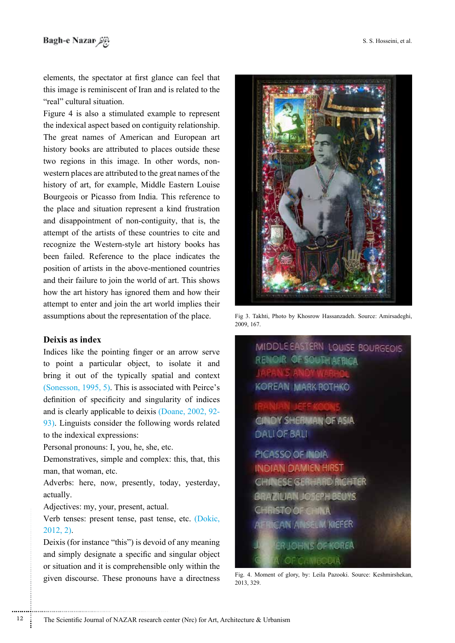elements, the spectator at first glance can feel that this image is reminiscent of Iran and is related to the " real" cultural situation.

Figure 4 is also a stimulated example to represent the indexical aspect based on contiguity relationship. The great names of American and European art history books are attributed to places outside these western places are attributed to the great names of the two regions in this image. In other words, nonhistory of art, for example, Middle Eastern Louise Bourgeois or Picasso from India. This reference to the place and situation represent a kind frustration and disappointment of non-contiguity, that is, the attempt of the artists of these countries to cite and recognize the Western-style art history books has been failed. Reference to the place indicates the position of artists in the above-mentioned countries and their failure to join the world of art. This shows how the art history has ignored them and how their attempt to enter and join the art world implies their assumptions about the representation of the place.

## **Deixis** as index

Indices like the pointing finger or an arrow serve to point a particular object, to isolate it and bring it out of the typically spatial and context  $(Sonesson, 1995, 5)$ . This is associated with Peirce's definition of specificity and singularity of indices and is clearly applicable to deixis  $(Doane, 2002, 92$ - $\sqrt{93}$ . Linguists consider the following words related to the indexical expressions:

Personal pronouns: I, you, he, she, etc.

Demonstratives, simple and complex: this, that, this man, that woman, etc.

Adverbs: here, now, presently, today, yesterday, .actually

Adjectives: my, your, present, actual.

Verb tenses: present tense, past tense, etc. (Dokic,  $2012, 2$ ).

Deixis (for instance "this") is devoid of any meaning and simply designate a specific and singular object or situation and it is comprehensible only within the given discourse. These pronouns have a directness



Fig 3. Takhti, Photo by Khosrow Hassanzadeh. Source: Amirsadeghi, 2009, 167.

MIDDLE EASTERN LOUISE BOURGEOIS **RENOIR OF SOUTH AFRICA KOREAN MARK ROTHKO CINDY SHERMAN OF ASIA DALI OF BALI** PICASSO OF INDIA **INDIAN DAMIEN HIRST** NESE GERHARD RICHTER **ZIUAN JOSEPH BEUYS ISTO OF GHINA** AN ANSELM KIEFER **RUCHINS OF KOREA CAMEODIA** 

Fig. 4. Moment of glory, by: Leila Pazooki. Source: Keshmirshekan, 2013, 329.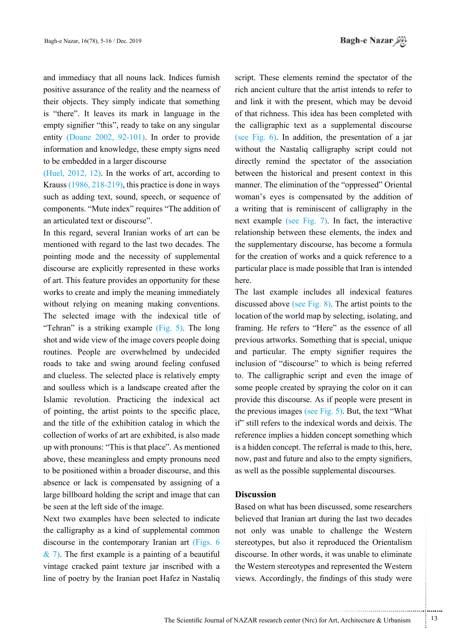and immediacy that all nouns lack. Indices furnish positive assurance of the reality and the nearness of their objects. They simply indicate that something is "there". It leaves its mark in language in the empty signifier "this", ready to take on any singular entity (Doane 2002, 92-101). In order to provide information and knowledge, these empty signs need to be embedded in a larger discourse

(Huel, 2012, 12). In the works of art, according to Krauss  $(1986, 218-219)$ , this practice is done in ways such as adding text, sound, speech, or sequence of components. "Mute index" requires "The addition of an articulated text or discourse".

In this regard, several Iranian works of art can be mentioned with regard to the last two decades. The pointing mode and the necessity of supplemental discourse are explicitly represented in these works of art. This feature provides an opportunity for these works to create and imply the meaning immediately without relying on meaning making conventions. The selected image with the indexical title of "Tehran" is a striking example  $(Fig. 5)$ . The long shot and wide view of the image covers people doing routines. People are overwhelmed by undecided roads to take and swing around feeling confused and clueless. The selected place is relatively empty and soulless which is a landscape created after the Islamic revolution. Practicing the indexical act of pointing, the artist points to the specific place, and the title of the exhibition catalog in which the collection of works of art are exhibited, is also made up with pronouns: "This is that place". As mentioned above, these meaningless and empty pronouns need to be positioned within a broader discourse, and this absence or lack is compensated by assigning of a large billboard holding the script and image that can be seen at the left side of the image.

Next two examples have been selected to indicate the calligraphy as a kind of supplemental common discourse in the contemporary Iranian art  $(Figs. 6$  $\&$  7). The first example is a painting of a beautiful vintage cracked paint texture jar inscribed with a line of poetry by the Iranian poet Hafez in Nastaliq

script. These elements remind the spectator of the rich ancient culture that the artist intends to refer to and link it with the present, which may be devoid of that richness. This idea has been completed with the calligraphic text as a supplemental discourse (see Fig.  $6$ ). In addition, the presentation of a jar without the Nastaliq calligraphy script could not directly remind the spectator of the association between the historical and present context in this manner. The elimination of the "oppressed" Oriental woman's eyes is compensated by the addition of a writing that is reminiscent of calligraphy in the next example (see Fig.  $7$ ). In fact, the interactive relationship between these elements, the index and the supplementary discourse, has become a formula for the creation of works and a quick reference to a particular place is made possible that Iran is intended here.

The last example includes all indexical features discussed above (see Fig. 8). The artist points to the location of the world map by selecting, isolating, and framing. He refers to "Here" as the essence of all previous artworks. Something that is special, unique and particular. The empty signifier requires the inclusion of "discourse" to which is being referred to. The calligraphic script and even the image of some people created by spraying the color on it can provide this discourse. As if people were present in the previous images (see Fig.  $5$ ). But, the text "What if" still refers to the indexical words and deixis. The reference implies a hidden concept something which is a hidden concept. The referral is made to this, here, now, past and future and also to the empty signifiers, as well as the possible supplemental discourses.

#### **Discussion**

Based on what has been discussed, some researchers believed that Iranian art during the last two decades not only was unable to challenge the Western stereotypes, but also it reproduced the Orientalism discourse. In other words, it was unable to eliminate the Western stereotypes and represented the Western views. Accordingly, the findings of this study were

.......... ....... ........ ........... ...... ....... ........ .......... ...........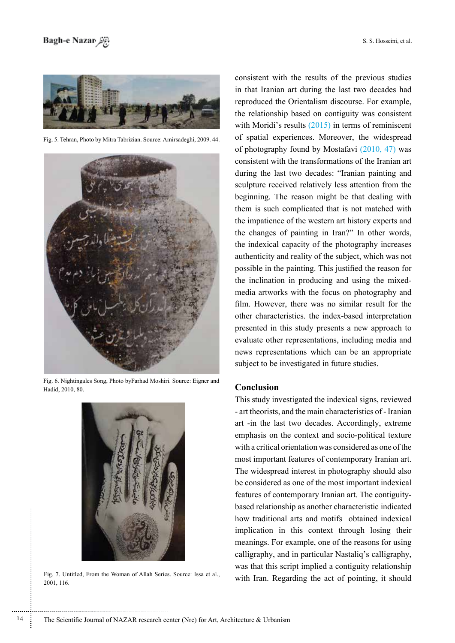

Fig. 5. Tehran, Photo by Mitra Tabrizian. Source: Amirsadeghi, 2009. 44.



Fig. 6. Nightingales Song, Photo byFarhad Moshiri. Source: Eigner and Hadid, 2010, 80.



Fig. 7. Untitled, From the Woman of Allah Series. Source: Issa et al., 2001, 116.

consistent with the results of the previous studies in that Iranian art during the last two decades had reproduced the Orientalism discourse. For example, the relationship based on contiguity was consistent with Moridi's results  $(2015)$  in terms of reminiscent of spatial experiences. Moreover, the widespread of photography found by Mostafavi  $(2010, 47)$  was consistent with the transformations of the Iranian art during the last two decades: "Iranian painting and sculpture received relatively less attention from the beginning. The reason might be that dealing with them is such complicated that is not matched with the impatience of the western art history experts and the changes of painting in Iran?" In other words, the indexical capacity of the photography increases authenticity and reality of the subject, which was not possible in the painting. This justified the reason for media artworks with the focus on photography and the inclination in producing and using the mixedfilm. However, there was no similar result for the other characteristics. the index-based interpretation presented in this study presents a new approach to evaluate other representations, including media and news representations which can be an appropriate subject to be investigated in future studies.

## **Conclusion**

This study investigated the indexical signs, reviewed - art theorists, and the main characteristics of - Iranian art -in the last two decades. Accordingly, extreme emphasis on the context and socio-political texture with a critical orientation was considered as one of the most important features of contemporary Iranian art. The widespread interest in photography should also be considered as one of the most important indexical based relationship as another characteristic indicated features of contemporary Iranian art. The contiguityhow traditional arts and motifs obtained indexical implication in this context through losing their meanings. For example, one of the reasons for using calligraphy, and in particular Nastaliq's calligraphy, was that this script implied a contiguity relationship with Iran. Regarding the act of pointing, it should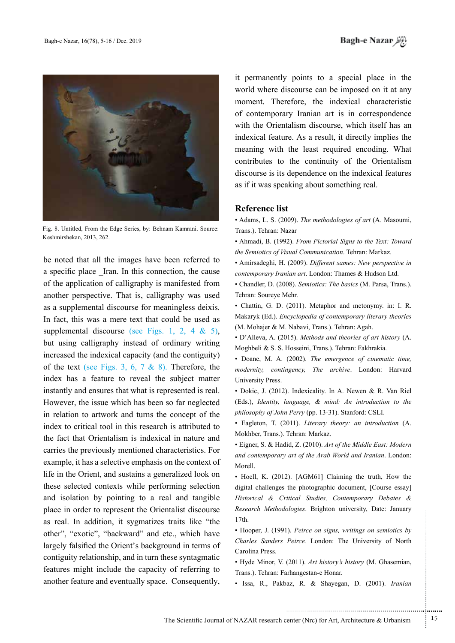

Fig. 8. Untitled, From the Edge Series, by: Behnam Kamrani. Source: Keshmirshekan, 2013, 262.

be noted that all the images have been referred to a specific place Iran. In this connection, the cause of the application of calligraphy is manifested from another perspective. That is, calligraphy was used as a supplemental discourse for meaningless deixis. In fact, this was a mere text that could be used as supplemental discourse (see Figs. 1, 2, 4  $\&$  5), but using calligraphy instead of ordinary writing increased the indexical capacity (and the contiguity) of the text (see Figs. 3, 6, 7 & 8). Therefore, the index has a feature to reveal the subject matter instantly and ensures that what is represented is real. However, the issue which has been so far neglected in relation to artwork and turns the concept of the index to critical tool in this research is attributed to the fact that Orientalism is indexical in nature and carries the previously mentioned characteristics. For example, it has a selective emphasis on the context of life in the Orient, and sustains a generalized look on these selected contexts while performing selection and isolation by pointing to a real and tangible place in order to represent the Orientalist discourse as real. In addition, it sygmatizes traits like "the other", "exotic", "backward" and etc., which have largely falsified the Orient's background in terms of contiguity relationship, and in turn these syntagmatic features might include the capacity of referring to another feature and eventually space. Consequently,

it permanently points to a special place in the world where discourse can be imposed on it at any moment. Therefore, the indexical characteristic of contemporary Iranian art is in correspondence with the Orientalism discourse, which itself has an indexical feature. As a result, it directly implies the meaning with the least required encoding. What contributes to the continuity of the Orientalism discourse is its dependence on the indexical features as if it was speaking about something real.

#### **Reference** list

• Adams, L. S. (2009). The methodologies of art (A. Masoumi, Trans.). Tehran: Nazar

- Ahmadi, B. (1992). *From Pictorial Signs to the Text: Toward* the Semiotics of Visual Communication. Tehran: Markaz.
- Amirsadeghi, H. (2009). Different sames: New perspective in contemporary Iranian art. London: Thames & Hudson Ltd.

• Chandler, D. (2008). Semiotics: The basics (M. Parsa, Trans.). Tehran: Soureye Mehr.

• Chattin, G. D. (2011). Metaphor and metonymy. in: I. R. **Makaryk** (Ed.). *Encyclopedia of contemporary literary theories* (M. Mohajer & M. Nabavi, Trans.). Tehran: Agah.

• D'Alleva, A. (2015). Methods and theories of art history (A. Moghbeli & S. S. Hosseini, Trans.). Tehran: Fakhrakia.

• Doane, M. A. (2002). The emergence of cinematic time, modernity, contingency, The archive. London: Harvard University Press.

• Dokic, J. (2012). Indexicality. In A. Newen & R. Van Riel *(Eds.), Identity, language, & mind: An introduction to the* philosophy of John Perry (pp. 13-31). Stanford: CSLI.

• Eagleton, T. (2011). *Literary theory: an introduction* (A. Mokhber, Trans.). Tehran: Markaz.

 $\bullet$  Eigner, S. & Hadid, Z. (2010). Art of the Middle East: Modern and contemporary art of the Arab World and Iranian. London: .Morell

• Hoell, K. (2012). [AGM61] Claiming the truth, How the digital challenges the photographic document, [Course essay] Historical & Critical Studies, Contemporary Debates & Research Methodologies. Brighton university, Date: January  $17th.$ 

 $\cdot$  Hooper, J. (1991). Peirce on signs, writings on semiotics by Charles Sanders Peirce. London: The University of North Carolina Press

• Hyde Minor, V. (2011). Art history's history (M. Ghasemian, Trans.). Tehran: Farhangestan-e Honar.

**·** Issa, R., Pakbaz, R. & Shayegan, D. (2001). Iranian

.......... ....... ........ ........... ...... ....... ........ .......... ...........